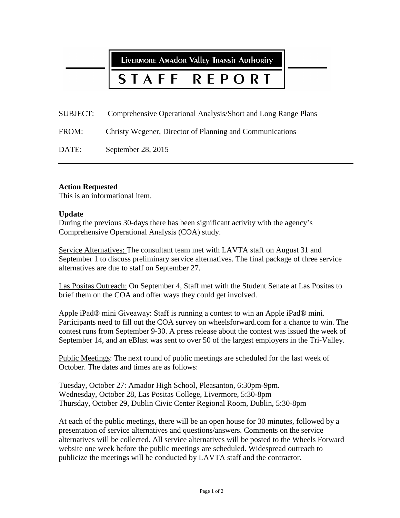LIVERMORE AMAdor Valley Transit Authority

## STAFF P O R F R T

SUBJECT: Comprehensive Operational Analysis/Short and Long Range Plans

FROM: Christy Wegener, Director of Planning and Communications

DATE: September 28, 2015

## **Action Requested**

This is an informational item.

## **Update**

During the previous 30-days there has been significant activity with the agency's Comprehensive Operational Analysis (COA) study.

Service Alternatives: The consultant team met with LAVTA staff on August 31 and September 1 to discuss preliminary service alternatives. The final package of three service alternatives are due to staff on September 27.

Las Positas Outreach: On September 4, Staff met with the Student Senate at Las Positas to brief them on the COA and offer ways they could get involved.

Apple iPad® mini Giveaway: Staff is running a contest to win an Apple iPad® mini. Participants need to fill out the COA survey on wheelsforward.com for a chance to win. The contest runs from September 9-30. A press release about the contest was issued the week of September 14, and an eBlast was sent to over 50 of the largest employers in the Tri-Valley.

Public Meetings: The next round of public meetings are scheduled for the last week of October. The dates and times are as follows:

Tuesday, October 27: Amador High School, Pleasanton, 6:30pm-9pm. Wednesday, October 28, Las Positas College, Livermore, 5:30-8pm Thursday, October 29, Dublin Civic Center Regional Room, Dublin, 5:30-8pm

At each of the public meetings, there will be an open house for 30 minutes, followed by a presentation of service alternatives and questions/answers. Comments on the service alternatives will be collected. All service alternatives will be posted to the Wheels Forward website one week before the public meetings are scheduled. Widespread outreach to publicize the meetings will be conducted by LAVTA staff and the contractor.